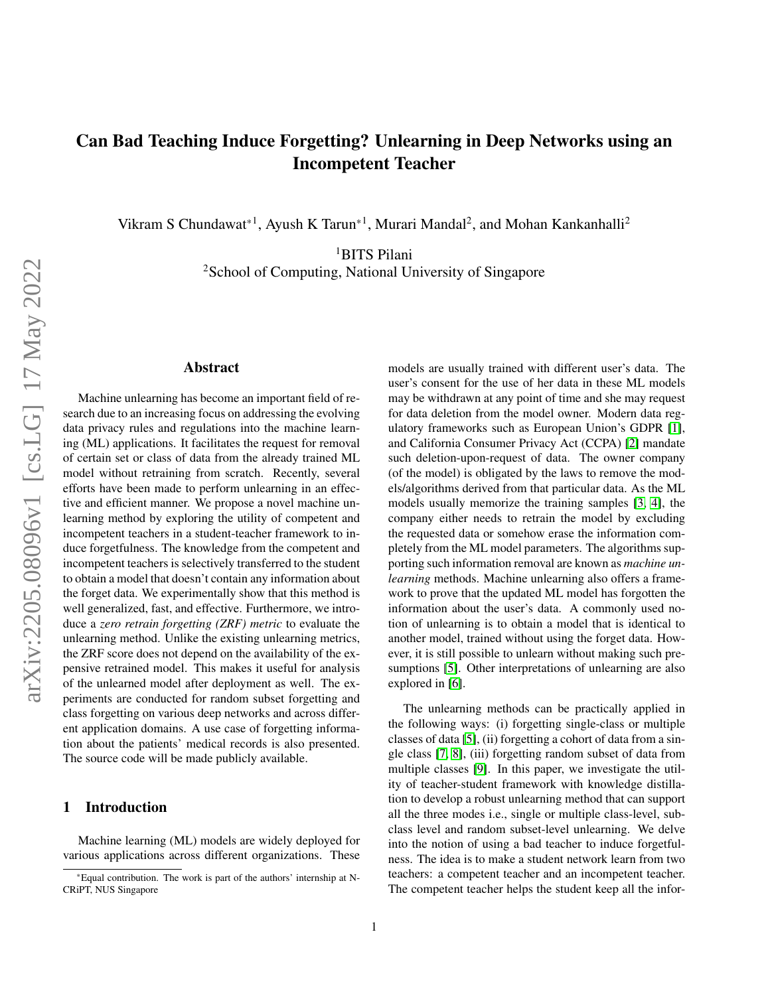# Can Bad Teaching Induce Forgetting? Unlearning in Deep Networks using an Incompetent Teacher

Vikram S Chundawat\*<sup>1</sup>, Ayush K Tarun\*<sup>1</sup>, Murari Mandal<sup>2</sup>, and Mohan Kankanhalli<sup>2</sup>

<sup>1</sup>BITS Pilani

<sup>2</sup>School of Computing, National University of Singapore

#### Abstract

Machine unlearning has become an important field of research due to an increasing focus on addressing the evolving data privacy rules and regulations into the machine learning (ML) applications. It facilitates the request for removal of certain set or class of data from the already trained ML model without retraining from scratch. Recently, several efforts have been made to perform unlearning in an effective and efficient manner. We propose a novel machine unlearning method by exploring the utility of competent and incompetent teachers in a student-teacher framework to induce forgetfulness. The knowledge from the competent and incompetent teachers is selectively transferred to the student to obtain a model that doesn't contain any information about the forget data. We experimentally show that this method is well generalized, fast, and effective. Furthermore, we introduce a *zero retrain forgetting (ZRF) metric* to evaluate the unlearning method. Unlike the existing unlearning metrics, the ZRF score does not depend on the availability of the expensive retrained model. This makes it useful for analysis of the unlearned model after deployment as well. The experiments are conducted for random subset forgetting and class forgetting on various deep networks and across different application domains. A use case of forgetting information about the patients' medical records is also presented. The source code will be made publicly available.

## 1 Introduction

Machine learning (ML) models are widely deployed for various applications across different organizations. These

models are usually trained with different user's data. The user's consent for the use of her data in these ML models may be withdrawn at any point of time and she may request for data deletion from the model owner. Modern data regulatory frameworks such as European Union's GDPR [\[1\]](#page-9-0), and California Consumer Privacy Act (CCPA) [\[2\]](#page-9-1) mandate such deletion-upon-request of data. The owner company (of the model) is obligated by the laws to remove the models/algorithms derived from that particular data. As the ML models usually memorize the training samples [\[3,](#page-9-2) [4\]](#page-9-3), the company either needs to retrain the model by excluding the requested data or somehow erase the information completely from the ML model parameters. The algorithms supporting such information removal are known as *machine unlearning* methods. Machine unlearning also offers a framework to prove that the updated ML model has forgotten the information about the user's data. A commonly used notion of unlearning is to obtain a model that is identical to another model, trained without using the forget data. However, it is still possible to unlearn without making such pre-sumptions [\[5\]](#page-9-4). Other interpretations of unlearning are also explored in [\[6\]](#page-9-5).

The unlearning methods can be practically applied in the following ways: (i) forgetting single-class or multiple classes of data [\[5\]](#page-9-4), (ii) forgetting a cohort of data from a single class [\[7,](#page-9-6) [8\]](#page-9-7), (iii) forgetting random subset of data from multiple classes [\[9\]](#page-9-8). In this paper, we investigate the utility of teacher-student framework with knowledge distillation to develop a robust unlearning method that can support all the three modes i.e., single or multiple class-level, subclass level and random subset-level unlearning. We delve into the notion of using a bad teacher to induce forgetfulness. The idea is to make a student network learn from two teachers: a competent teacher and an incompetent teacher. The competent teacher helps the student keep all the infor-

<sup>\*</sup>Equal contribution. The work is part of the authors' internship at N-CRiPT, NUS Singapore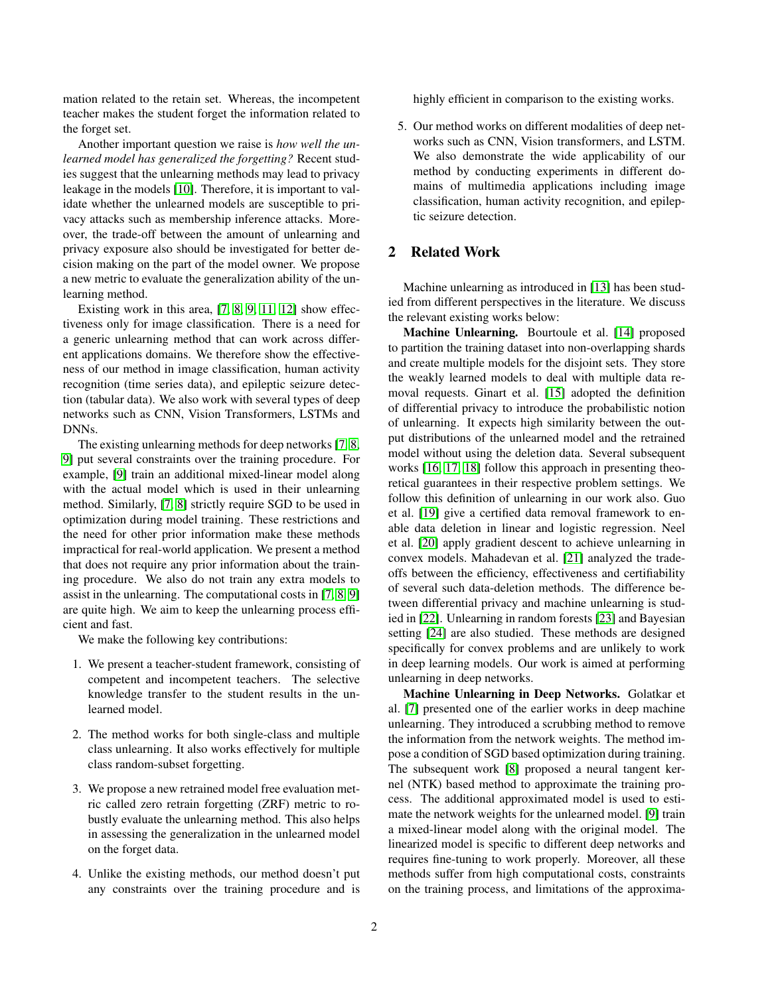mation related to the retain set. Whereas, the incompetent teacher makes the student forget the information related to the forget set.

Another important question we raise is *how well the unlearned model has generalized the forgetting?* Recent studies suggest that the unlearning methods may lead to privacy leakage in the models [\[10\]](#page-9-9). Therefore, it is important to validate whether the unlearned models are susceptible to privacy attacks such as membership inference attacks. Moreover, the trade-off between the amount of unlearning and privacy exposure also should be investigated for better decision making on the part of the model owner. We propose a new metric to evaluate the generalization ability of the unlearning method.

Existing work in this area, [\[7,](#page-9-6) [8,](#page-9-7) [9,](#page-9-8) [11,](#page-9-10) [12\]](#page-9-11) show effectiveness only for image classification. There is a need for a generic unlearning method that can work across different applications domains. We therefore show the effectiveness of our method in image classification, human activity recognition (time series data), and epileptic seizure detection (tabular data). We also work with several types of deep networks such as CNN, Vision Transformers, LSTMs and DNNs.

The existing unlearning methods for deep networks [\[7,](#page-9-6) [8,](#page-9-7) [9\]](#page-9-8) put several constraints over the training procedure. For example, [\[9\]](#page-9-8) train an additional mixed-linear model along with the actual model which is used in their unlearning method. Similarly, [\[7,](#page-9-6) [8\]](#page-9-7) strictly require SGD to be used in optimization during model training. These restrictions and the need for other prior information make these methods impractical for real-world application. We present a method that does not require any prior information about the training procedure. We also do not train any extra models to assist in the unlearning. The computational costs in [\[7,](#page-9-6) [8,](#page-9-7) [9\]](#page-9-8) are quite high. We aim to keep the unlearning process efficient and fast.

We make the following key contributions:

- 1. We present a teacher-student framework, consisting of competent and incompetent teachers. The selective knowledge transfer to the student results in the unlearned model.
- 2. The method works for both single-class and multiple class unlearning. It also works effectively for multiple class random-subset forgetting.
- 3. We propose a new retrained model free evaluation metric called zero retrain forgetting (ZRF) metric to robustly evaluate the unlearning method. This also helps in assessing the generalization in the unlearned model on the forget data.
- 4. Unlike the existing methods, our method doesn't put any constraints over the training procedure and is

highly efficient in comparison to the existing works.

5. Our method works on different modalities of deep networks such as CNN, Vision transformers, and LSTM. We also demonstrate the wide applicability of our method by conducting experiments in different domains of multimedia applications including image classification, human activity recognition, and epileptic seizure detection.

## 2 Related Work

Machine unlearning as introduced in [\[13\]](#page-9-12) has been studied from different perspectives in the literature. We discuss the relevant existing works below:

Machine Unlearning. Bourtoule et al. [\[14\]](#page-9-13) proposed to partition the training dataset into non-overlapping shards and create multiple models for the disjoint sets. They store the weakly learned models to deal with multiple data removal requests. Ginart et al. [\[15\]](#page-9-14) adopted the definition of differential privacy to introduce the probabilistic notion of unlearning. It expects high similarity between the output distributions of the unlearned model and the retrained model without using the deletion data. Several subsequent works [\[16,](#page-9-15) [17,](#page-9-16) [18\]](#page-9-17) follow this approach in presenting theoretical guarantees in their respective problem settings. We follow this definition of unlearning in our work also. Guo et al. [\[19\]](#page-9-18) give a certified data removal framework to enable data deletion in linear and logistic regression. Neel et al. [\[20\]](#page-10-0) apply gradient descent to achieve unlearning in convex models. Mahadevan et al. [\[21\]](#page-10-1) analyzed the tradeoffs between the efficiency, effectiveness and certifiability of several such data-deletion methods. The difference between differential privacy and machine unlearning is studied in [\[22\]](#page-10-2). Unlearning in random forests [\[23\]](#page-10-3) and Bayesian setting [\[24\]](#page-10-4) are also studied. These methods are designed specifically for convex problems and are unlikely to work in deep learning models. Our work is aimed at performing unlearning in deep networks.

Machine Unlearning in Deep Networks. Golatkar et al. [\[7\]](#page-9-6) presented one of the earlier works in deep machine unlearning. They introduced a scrubbing method to remove the information from the network weights. The method impose a condition of SGD based optimization during training. The subsequent work [\[8\]](#page-9-7) proposed a neural tangent kernel (NTK) based method to approximate the training process. The additional approximated model is used to estimate the network weights for the unlearned model. [\[9\]](#page-9-8) train a mixed-linear model along with the original model. The linearized model is specific to different deep networks and requires fine-tuning to work properly. Moreover, all these methods suffer from high computational costs, constraints on the training process, and limitations of the approxima-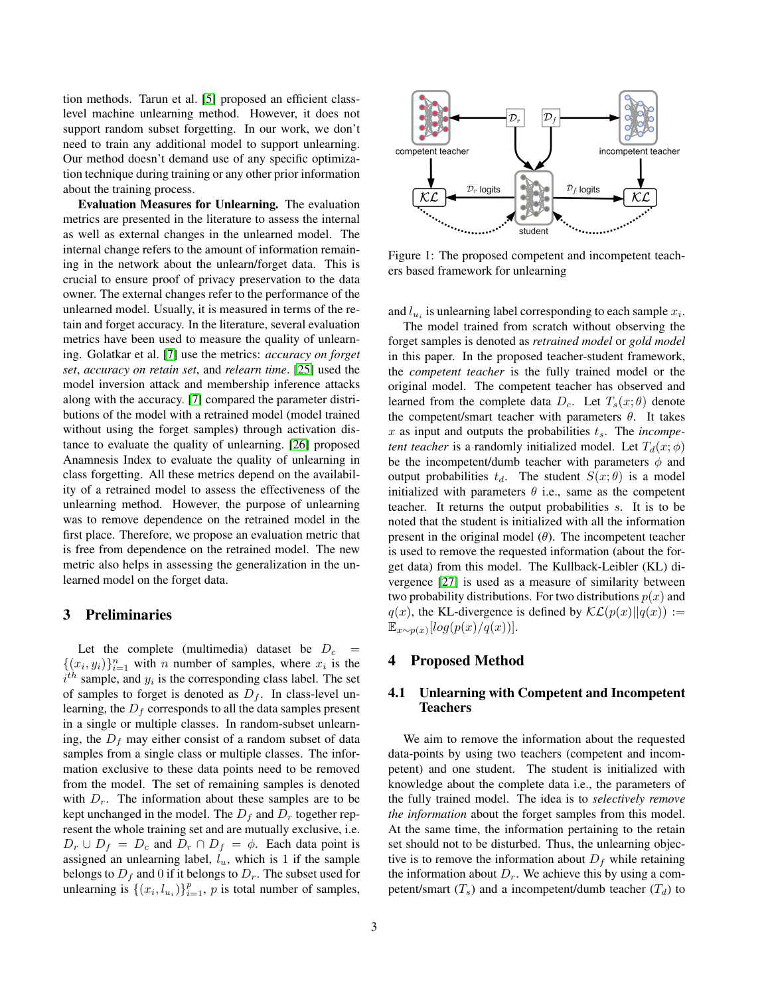tion methods. Tarun et al. [\[5\]](#page-9-4) proposed an efficient classlevel machine unlearning method. However, it does not support random subset forgetting. In our work, we don't need to train any additional model to support unlearning. Our method doesn't demand use of any specific optimization technique during training or any other prior information about the training process.

Evaluation Measures for Unlearning. The evaluation metrics are presented in the literature to assess the internal as well as external changes in the unlearned model. The internal change refers to the amount of information remaining in the network about the unlearn/forget data. This is crucial to ensure proof of privacy preservation to the data owner. The external changes refer to the performance of the unlearned model. Usually, it is measured in terms of the retain and forget accuracy. In the literature, several evaluation metrics have been used to measure the quality of unlearning. Golatkar et al. [\[7\]](#page-9-6) use the metrics: *accuracy on forget set*, *accuracy on retain set*, and *relearn time*. [\[25\]](#page-10-5) used the model inversion attack and membership inference attacks along with the accuracy. [\[7\]](#page-9-6) compared the parameter distributions of the model with a retrained model (model trained without using the forget samples) through activation distance to evaluate the quality of unlearning. [\[26\]](#page-10-6) proposed Anamnesis Index to evaluate the quality of unlearning in class forgetting. All these metrics depend on the availability of a retrained model to assess the effectiveness of the unlearning method. However, the purpose of unlearning was to remove dependence on the retrained model in the first place. Therefore, we propose an evaluation metric that is free from dependence on the retrained model. The new metric also helps in assessing the generalization in the unlearned model on the forget data.

## 3 Preliminaries

Let the complete (multimedia) dataset be  $D_c$  =  $\{(x_i, y_i)\}_{i=1}^n$  with *n* number of samples, where  $x_i$  is the  $i^{th}$  sample, and  $y_i$  is the corresponding class label. The set of samples to forget is denoted as  $D_f$ . In class-level unlearning, the  $D_f$  corresponds to all the data samples present in a single or multiple classes. In random-subset unlearning, the  $D_f$  may either consist of a random subset of data samples from a single class or multiple classes. The information exclusive to these data points need to be removed from the model. The set of remaining samples is denoted with  $D_r$ . The information about these samples are to be kept unchanged in the model. The  $D_f$  and  $D_r$  together represent the whole training set and are mutually exclusive, i.e.  $D_r \cup D_f = D_c$  and  $D_r \cap D_f = \phi$ . Each data point is assigned an unlearning label,  $l_u$ , which is 1 if the sample belongs to  $D_f$  and 0 if it belongs to  $D_r$ . The subset used for unlearning is  $\{(x_i, l_{u_i})\}_{i=1}^p$ , p is total number of samples,

<span id="page-2-0"></span>

Figure 1: The proposed competent and incompetent teachers based framework for unlearning

and  $l_{u_i}$  is unlearning label corresponding to each sample  $x_i$ .

The model trained from scratch without observing the forget samples is denoted as *retrained model* or *gold model* in this paper. In the proposed teacher-student framework, the *competent teacher* is the fully trained model or the original model. The competent teacher has observed and learned from the complete data  $D_c$ . Let  $T_s(x;\theta)$  denote the competent/smart teacher with parameters  $\theta$ . It takes  $x$  as input and outputs the probabilities  $t_s$ . The *incompetent teacher* is a randomly initialized model. Let  $T_d(x; \phi)$ be the incompetent/dumb teacher with parameters  $\phi$  and output probabilities  $t_d$ . The student  $S(x; \theta)$  is a model initialized with parameters  $\theta$  i.e., same as the competent teacher. It returns the output probabilities s. It is to be noted that the student is initialized with all the information present in the original model  $(\theta)$ . The incompetent teacher is used to remove the requested information (about the forget data) from this model. The Kullback-Leibler (KL) divergence [\[27\]](#page-10-7) is used as a measure of similarity between two probability distributions. For two distributions  $p(x)$  and  $q(x)$ , the KL-divergence is defined by  $\mathcal{KL}(p(x)||q(x)) :=$  $\mathbb{E}_{x \sim p(x)}[log(p(x)/q(x))].$ 

## 4 Proposed Method

#### 4.1 Unlearning with Competent and Incompetent Teachers

We aim to remove the information about the requested data-points by using two teachers (competent and incompetent) and one student. The student is initialized with knowledge about the complete data i.e., the parameters of the fully trained model. The idea is to *selectively remove the information* about the forget samples from this model. At the same time, the information pertaining to the retain set should not to be disturbed. Thus, the unlearning objective is to remove the information about  $D_f$  while retaining the information about  $D_r$ . We achieve this by using a competent/smart  $(T_s)$  and a incompetent/dumb teacher  $(T_d)$  to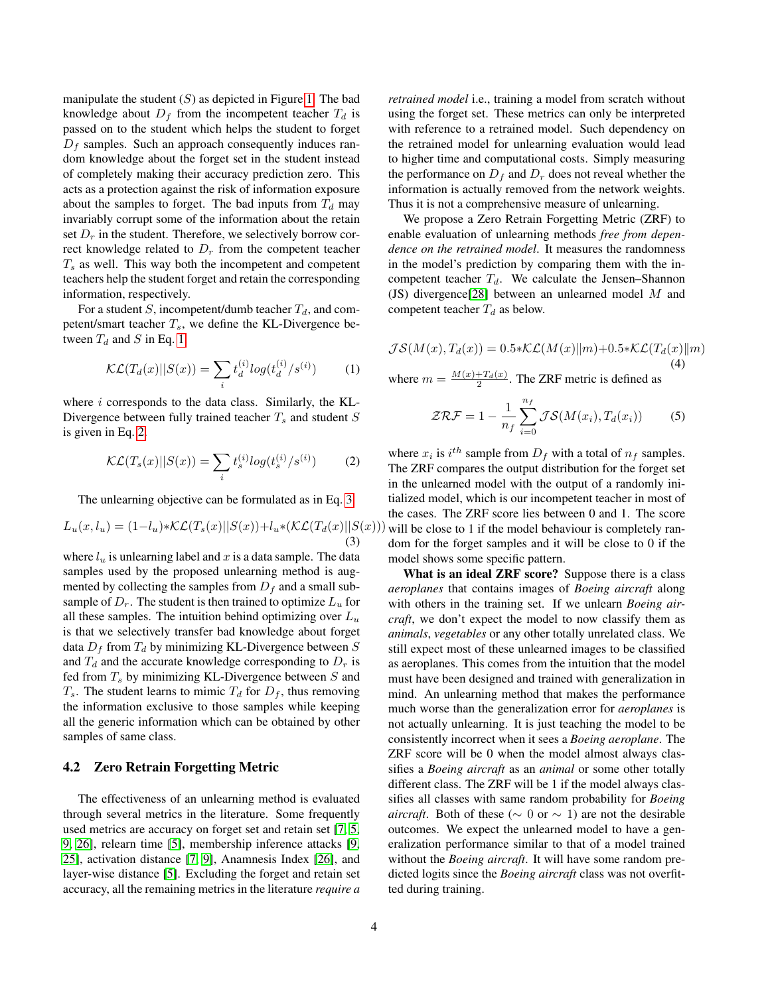manipulate the student  $(S)$  as depicted in Figure [1.](#page-2-0) The bad knowledge about  $D_f$  from the incompetent teacher  $T_d$  is passed on to the student which helps the student to forget  $D_f$  samples. Such an approach consequently induces random knowledge about the forget set in the student instead of completely making their accuracy prediction zero. This acts as a protection against the risk of information exposure about the samples to forget. The bad inputs from  $T<sub>d</sub>$  may invariably corrupt some of the information about the retain set  $D_r$  in the student. Therefore, we selectively borrow correct knowledge related to  $D_r$  from the competent teacher  $T<sub>s</sub>$  as well. This way both the incompetent and competent teachers help the student forget and retain the corresponding information, respectively.

<span id="page-3-0"></span>For a student S, incompetent/dumb teacher  $T_d$ , and competent/smart teacher  $T_s$ , we define the KL-Divergence between  $T_d$  and S in Eq. [1.](#page-3-0)

$$
\mathcal{KL}(T_d(x)||S(x)) = \sum_i t_d^{(i)} log(t_d^{(i)}/s^{(i)}) \tag{1}
$$

where  $i$  corresponds to the data class. Similarly, the KL-Divergence between fully trained teacher  $T_s$  and student  $S$ is given in Eq. [2.](#page-3-1)

<span id="page-3-1"></span>
$$
\mathcal{KL}(T_s(x)||S(x)) = \sum_i t_s^{(i)}log(t_s^{(i)}/s^{(i)})\tag{2}
$$

The unlearning objective can be formulated as in Eq. [3.](#page-3-2)

$$
L_u(x, l_u) = (1 - l_u) * \mathcal{KL}(T_s(x)||S(x)) + l_u * (\mathcal{KL}(T_d(x)||S(x)))
$$
\n(3)

where  $l_u$  is unlearning label and x is a data sample. The data samples used by the proposed unlearning method is augmented by collecting the samples from  $D_f$  and a small subsample of  $D_r$ . The student is then trained to optimize  $L_u$  for all these samples. The intuition behind optimizing over  $L_u$ is that we selectively transfer bad knowledge about forget data  $D_f$  from  $T_d$  by minimizing KL-Divergence between S and  $T_d$  and the accurate knowledge corresponding to  $D_r$  is fed from  $T_s$  by minimizing KL-Divergence between  $S$  and  $T_s$ . The student learns to mimic  $T_d$  for  $D_f$ , thus removing the information exclusive to those samples while keeping all the generic information which can be obtained by other samples of same class.

#### <span id="page-3-3"></span>4.2 Zero Retrain Forgetting Metric

The effectiveness of an unlearning method is evaluated through several metrics in the literature. Some frequently used metrics are accuracy on forget set and retain set [\[7,](#page-9-6) [5,](#page-9-4) [9,](#page-9-8) [26\]](#page-10-6), relearn time [\[5\]](#page-9-4), membership inference attacks [\[9,](#page-9-8) [25\]](#page-10-5), activation distance [\[7,](#page-9-6) [9\]](#page-9-8), Anamnesis Index [\[26\]](#page-10-6), and layer-wise distance [\[5\]](#page-9-4). Excluding the forget and retain set accuracy, all the remaining metrics in the literature *require a*

*retrained model* i.e., training a model from scratch without using the forget set. These metrics can only be interpreted with reference to a retrained model. Such dependency on the retrained model for unlearning evaluation would lead to higher time and computational costs. Simply measuring the performance on  $D_f$  and  $D_r$  does not reveal whether the information is actually removed from the network weights. Thus it is not a comprehensive measure of unlearning.

We propose a Zero Retrain Forgetting Metric (ZRF) to enable evaluation of unlearning methods *free from dependence on the retrained model*. It measures the randomness in the model's prediction by comparing them with the incompetent teacher  $T_d$ . We calculate the Jensen–Shannon (JS) divergence[\[28\]](#page-10-8) between an unlearned model M and competent teacher  $T_d$  as below.

$$
\mathcal{JS}(M(x), T_d(x)) = 0.5 * \mathcal{KL}(M(x) || m) + 0.5 * \mathcal{KL}(T_d(x) || m)
$$
  
(4)

where  $m = \frac{M(x) + T_d(x)}{2}$ . The ZRF metric is defined as

$$
\mathcal{ZRF} = 1 - \frac{1}{n_f} \sum_{i=0}^{n_f} \mathcal{JS}(M(x_i), T_d(x_i)) \tag{5}
$$

<span id="page-3-2"></span>where  $x_i$  is  $i^{th}$  sample from  $D_f$  with a total of  $n_f$  samples. The ZRF compares the output distribution for the forget set in the unlearned model with the output of a randomly initialized model, which is our incompetent teacher in most of the cases. The ZRF score lies between 0 and 1. The score will be close to 1 if the model behaviour is completely random for the forget samples and it will be close to 0 if the model shows some specific pattern.

What is an ideal ZRF score? Suppose there is a class *aeroplanes* that contains images of *Boeing aircraft* along with others in the training set. If we unlearn *Boeing aircraft*, we don't expect the model to now classify them as *animals*, *vegetables* or any other totally unrelated class. We still expect most of these unlearned images to be classified as aeroplanes. This comes from the intuition that the model must have been designed and trained with generalization in mind. An unlearning method that makes the performance much worse than the generalization error for *aeroplanes* is not actually unlearning. It is just teaching the model to be consistently incorrect when it sees a *Boeing aeroplane*. The ZRF score will be 0 when the model almost always classifies a *Boeing aircraft* as an *animal* or some other totally different class. The ZRF will be 1 if the model always classifies all classes with same random probability for *Boeing aircraft*. Both of these ( $\sim 0$  or  $\sim 1$ ) are not the desirable outcomes. We expect the unlearned model to have a generalization performance similar to that of a model trained without the *Boeing aircraft*. It will have some random predicted logits since the *Boeing aircraft* class was not overfitted during training.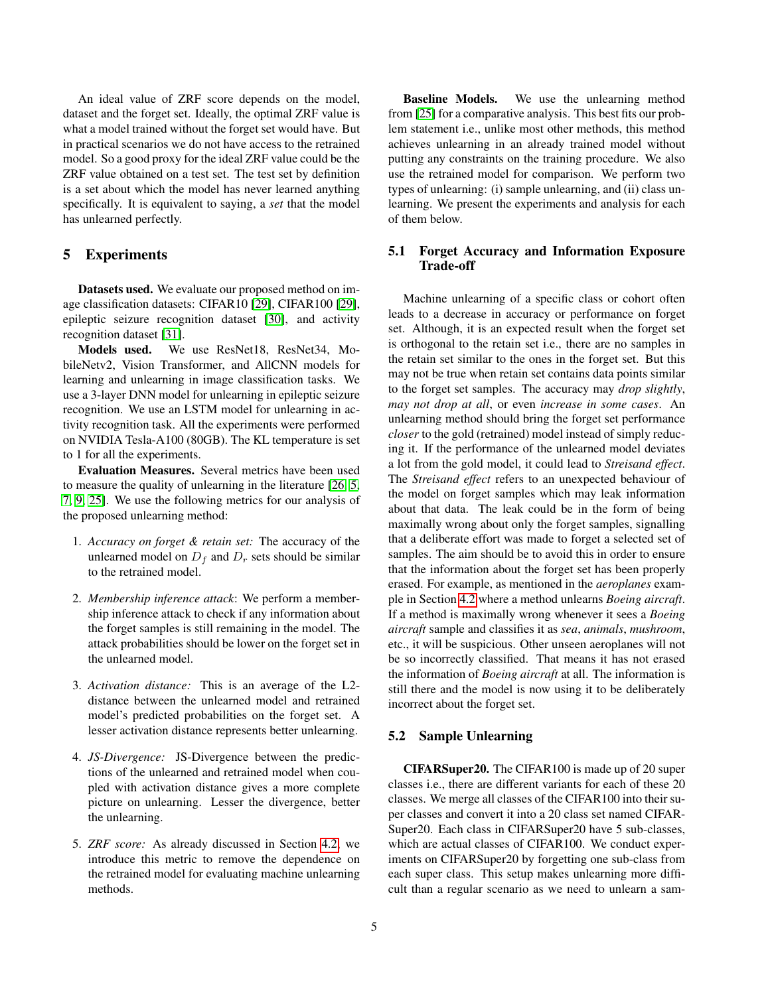An ideal value of ZRF score depends on the model, dataset and the forget set. Ideally, the optimal ZRF value is what a model trained without the forget set would have. But in practical scenarios we do not have access to the retrained model. So a good proxy for the ideal ZRF value could be the ZRF value obtained on a test set. The test set by definition is a set about which the model has never learned anything specifically. It is equivalent to saying, a *set* that the model has unlearned perfectly.

## 5 Experiments

Datasets used. We evaluate our proposed method on image classification datasets: CIFAR10 [\[29\]](#page-10-9), CIFAR100 [\[29\]](#page-10-9), epileptic seizure recognition dataset [\[30\]](#page-10-10), and activity recognition dataset [\[31\]](#page-10-11).

Models used. We use ResNet18, ResNet34, MobileNetv2, Vision Transformer, and AllCNN models for learning and unlearning in image classification tasks. We use a 3-layer DNN model for unlearning in epileptic seizure recognition. We use an LSTM model for unlearning in activity recognition task. All the experiments were performed on NVIDIA Tesla-A100 (80GB). The KL temperature is set to 1 for all the experiments.

Evaluation Measures. Several metrics have been used to measure the quality of unlearning in the literature [\[26,](#page-10-6) [5,](#page-9-4) [7,](#page-9-6) [9,](#page-9-8) [25\]](#page-10-5). We use the following metrics for our analysis of the proposed unlearning method:

- 1. *Accuracy on forget & retain set:* The accuracy of the unlearned model on  $D_f$  and  $D_r$  sets should be similar to the retrained model.
- 2. *Membership inference attack*: We perform a membership inference attack to check if any information about the forget samples is still remaining in the model. The attack probabilities should be lower on the forget set in the unlearned model.
- 3. *Activation distance:* This is an average of the L2 distance between the unlearned model and retrained model's predicted probabilities on the forget set. A lesser activation distance represents better unlearning.
- 4. *JS-Divergence:* JS-Divergence between the predictions of the unlearned and retrained model when coupled with activation distance gives a more complete picture on unlearning. Lesser the divergence, better the unlearning.
- 5. *ZRF score:* As already discussed in Section [4.2,](#page-3-3) we introduce this metric to remove the dependence on the retrained model for evaluating machine unlearning methods.

Baseline Models. We use the unlearning method from [\[25\]](#page-10-5) for a comparative analysis. This best fits our problem statement i.e., unlike most other methods, this method achieves unlearning in an already trained model without putting any constraints on the training procedure. We also use the retrained model for comparison. We perform two types of unlearning: (i) sample unlearning, and (ii) class unlearning. We present the experiments and analysis for each of them below.

#### <span id="page-4-0"></span>5.1 Forget Accuracy and Information Exposure Trade-off

Machine unlearning of a specific class or cohort often leads to a decrease in accuracy or performance on forget set. Although, it is an expected result when the forget set is orthogonal to the retain set i.e., there are no samples in the retain set similar to the ones in the forget set. But this may not be true when retain set contains data points similar to the forget set samples. The accuracy may *drop slightly*, *may not drop at all*, or even *increase in some cases*. An unlearning method should bring the forget set performance *closer* to the gold (retrained) model instead of simply reducing it. If the performance of the unlearned model deviates a lot from the gold model, it could lead to *Streisand effect*. The *Streisand effect* refers to an unexpected behaviour of the model on forget samples which may leak information about that data. The leak could be in the form of being maximally wrong about only the forget samples, signalling that a deliberate effort was made to forget a selected set of samples. The aim should be to avoid this in order to ensure that the information about the forget set has been properly erased. For example, as mentioned in the *aeroplanes* example in Section [4.2](#page-3-3) where a method unlearns *Boeing aircraft*. If a method is maximally wrong whenever it sees a *Boeing aircraft* sample and classifies it as *sea*, *animals*, *mushroom*, etc., it will be suspicious. Other unseen aeroplanes will not be so incorrectly classified. That means it has not erased the information of *Boeing aircraft* at all. The information is still there and the model is now using it to be deliberately incorrect about the forget set.

#### 5.2 Sample Unlearning

CIFARSuper20. The CIFAR100 is made up of 20 super classes i.e., there are different variants for each of these 20 classes. We merge all classes of the CIFAR100 into their super classes and convert it into a 20 class set named CIFAR-Super20. Each class in CIFARSuper20 have 5 sub-classes, which are actual classes of CIFAR100. We conduct experiments on CIFARSuper20 by forgetting one sub-class from each super class. This setup makes unlearning more difficult than a regular scenario as we need to unlearn a sam-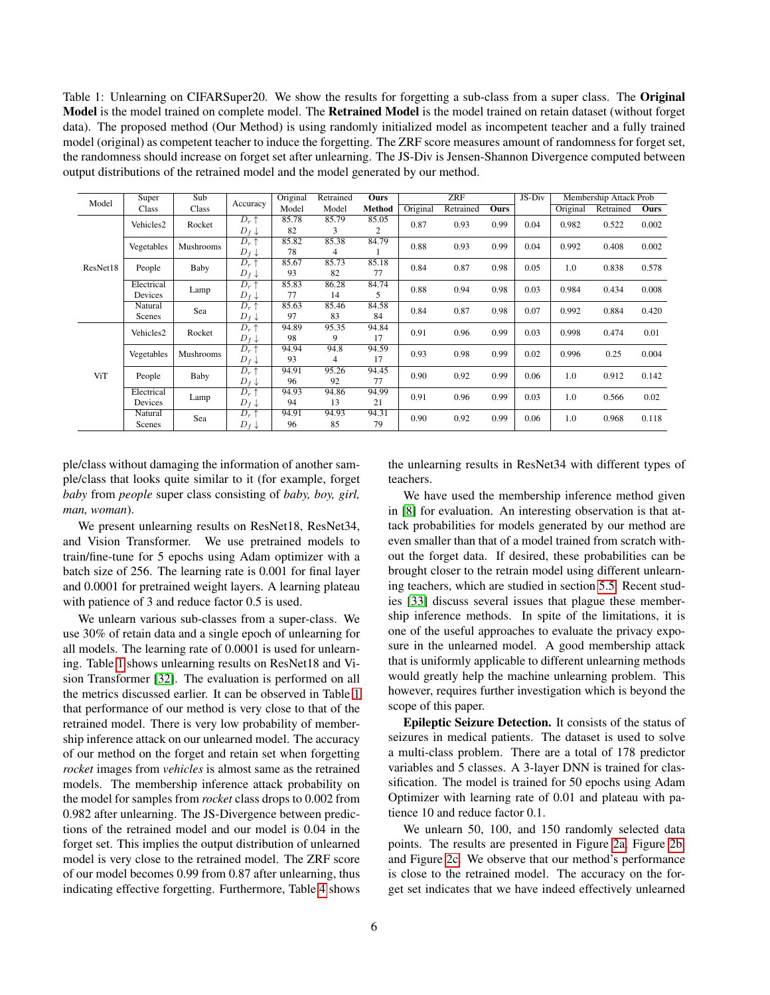<span id="page-5-0"></span>Table 1: Unlearning on CIFARSuper20. We show the results for forgetting a sub-class from a super class. The Original Model is the model trained on complete model. The Retrained Model is the model trained on retain dataset (without forget data). The proposed method (Our Method) is using randomly initialized model as incompetent teacher and a fully trained model (original) as competent teacher to induce the forgetting. The ZRF score measures amount of randomness for forget set, the randomness should increase on forget set after unlearning. The JS-Div is Jensen-Shannon Divergence computed between output distributions of the retrained model and the model generated by our method.

| Model    | Super                 | Sub              |                                              | Original    | Retrained   | <b>Ours</b> |          | <b>ZRF</b> |             | JS-Div |          | Membership Attack Prob |       |
|----------|-----------------------|------------------|----------------------------------------------|-------------|-------------|-------------|----------|------------|-------------|--------|----------|------------------------|-------|
|          | Class                 | <b>Class</b>     | Accuracy                                     | Model       | Model       | Method      | Original | Retrained  | <b>Ours</b> |        | Original | Retrained              | Ours  |
| ResNet18 | Vehicles2             | Rocket           | $D_r \uparrow$<br>$D_f \downarrow$           | 85.78<br>82 | 85.79<br>3  | 85.05<br>2  | 0.87     | 0.93       | 0.99        | 0.04   | 0.982    | 0.522                  | 0.002 |
|          | Vegetables            | <b>Mushrooms</b> | $\overline{D_r\uparrow}$<br>$D_f \downarrow$ | 85.82<br>78 | 85.38<br>4  | 84.79       | 0.88     | 0.93       | 0.99        | 0.04   | 0.992    | 0.408                  | 0.002 |
|          | People                | Baby             | $D_r \uparrow$<br>$D_f \downarrow$           | 85.67<br>93 | 85.73<br>82 | 85.18<br>77 | 0.84     | 0.87       | 0.98        | 0.05   | 1.0      | 0.838                  | 0.578 |
|          | Electrical<br>Devices | Lamp             | $D_r \uparrow$<br>$D_f \downarrow$           | 85.83<br>77 | 86.28<br>14 | 84.74<br>5  | 0.88     | 0.94       | 0.98        | 0.03   | 0.984    | 0.434                  | 0.008 |
|          | Natural<br>Scenes     | Sea              | $D_r \uparrow$<br>$D_f \downarrow$           | 85.63<br>97 | 85.46<br>83 | 84.58<br>84 | 0.84     | 0.87       | 0.98        | 0.07   | 0.992    | 0.884                  | 0.420 |
|          | Vehicles2             | Rocket           | $D_r \uparrow$<br>$D_f \downarrow$           | 94.89<br>98 | 95.35<br>9  | 94.84<br>17 | 0.91     | 0.96       | 0.99        | 0.03   | 0.998    | 0.474                  | 0.01  |
|          | Vegetables            | Mushrooms        | $D_r \uparrow$<br>$D_f \downarrow$           | 94.94<br>93 | 94.8<br>4   | 94.59<br>17 | 0.93     | 0.98       | 0.99        | 0.02   | 0.996    | 0.25                   | 0.004 |
| ViT      | People                | Baby             | $D_r \uparrow$<br>$D_f \downarrow$           | 94.91<br>96 | 95.26<br>92 | 94.45<br>77 | 0.90     | 0.92       | 0.99        | 0.06   | 1.0      | 0.912                  | 0.142 |
|          | Electrical<br>Devices | Lamp             | $D_r \uparrow$<br>$D_f \downarrow$           | 94.93<br>94 | 94.86<br>13 | 94.99<br>21 | 0.91     | 0.96       | 0.99        | 0.03   | 1.0      | 0.566                  | 0.02  |
|          | Natural<br>Scenes     | Sea              | $D_r \uparrow$<br>$D_f \downarrow$           | 94.91<br>96 | 94.93<br>85 | 94.31<br>79 | 0.90     | 0.92       | 0.99        | 0.06   | 1.0      | 0.968                  | 0.118 |

ple/class without damaging the information of another sample/class that looks quite similar to it (for example, forget *baby* from *people* super class consisting of *baby, boy, girl, man, woman*).

We present unlearning results on ResNet18, ResNet34, and Vision Transformer. We use pretrained models to train/fine-tune for 5 epochs using Adam optimizer with a batch size of 256. The learning rate is 0.001 for final layer and 0.0001 for pretrained weight layers. A learning plateau with patience of 3 and reduce factor 0.5 is used.

We unlearn various sub-classes from a super-class. We use 30% of retain data and a single epoch of unlearning for all models. The learning rate of 0.0001 is used for unlearning. Table [1](#page-5-0) shows unlearning results on ResNet18 and Vision Transformer [\[32\]](#page-10-12). The evaluation is performed on all the metrics discussed earlier. It can be observed in Table [1](#page-5-0) that performance of our method is very close to that of the retrained model. There is very low probability of membership inference attack on our unlearned model. The accuracy of our method on the forget and retain set when forgetting *rocket* images from *vehicles* is almost same as the retrained models. The membership inference attack probability on the model for samples from *rocket* class drops to 0.002 from 0.982 after unlearning. The JS-Divergence between predictions of the retrained model and our model is 0.04 in the forget set. This implies the output distribution of unlearned model is very close to the retrained model. The ZRF score of our model becomes 0.99 from 0.87 after unlearning, thus indicating effective forgetting. Furthermore, Table [4](#page-8-0) shows

the unlearning results in ResNet34 with different types of teachers.

We have used the membership inference method given in [\[8\]](#page-9-7) for evaluation. An interesting observation is that attack probabilities for models generated by our method are even smaller than that of a model trained from scratch without the forget data. If desired, these probabilities can be brought closer to the retrain model using different unlearning teachers, which are studied in section [5.5.](#page-8-1) Recent studies [\[33\]](#page-10-13) discuss several issues that plague these membership inference methods. In spite of the limitations, it is one of the useful approaches to evaluate the privacy exposure in the unlearned model. A good membership attack that is uniformly applicable to different unlearning methods would greatly help the machine unlearning problem. This however, requires further investigation which is beyond the scope of this paper.

Epileptic Seizure Detection. It consists of the status of seizures in medical patients. The dataset is used to solve a multi-class problem. There are a total of 178 predictor variables and 5 classes. A 3-layer DNN is trained for classification. The model is trained for 50 epochs using Adam Optimizer with learning rate of 0.01 and plateau with patience 10 and reduce factor 0.1.

We unlearn 50, 100, and 150 randomly selected data points. The results are presented in Figure [2a,](#page-6-0) Figure [2b,](#page-6-0) and Figure [2c.](#page-6-0) We observe that our method's performance is close to the retrained model. The accuracy on the forget set indicates that we have indeed effectively unlearned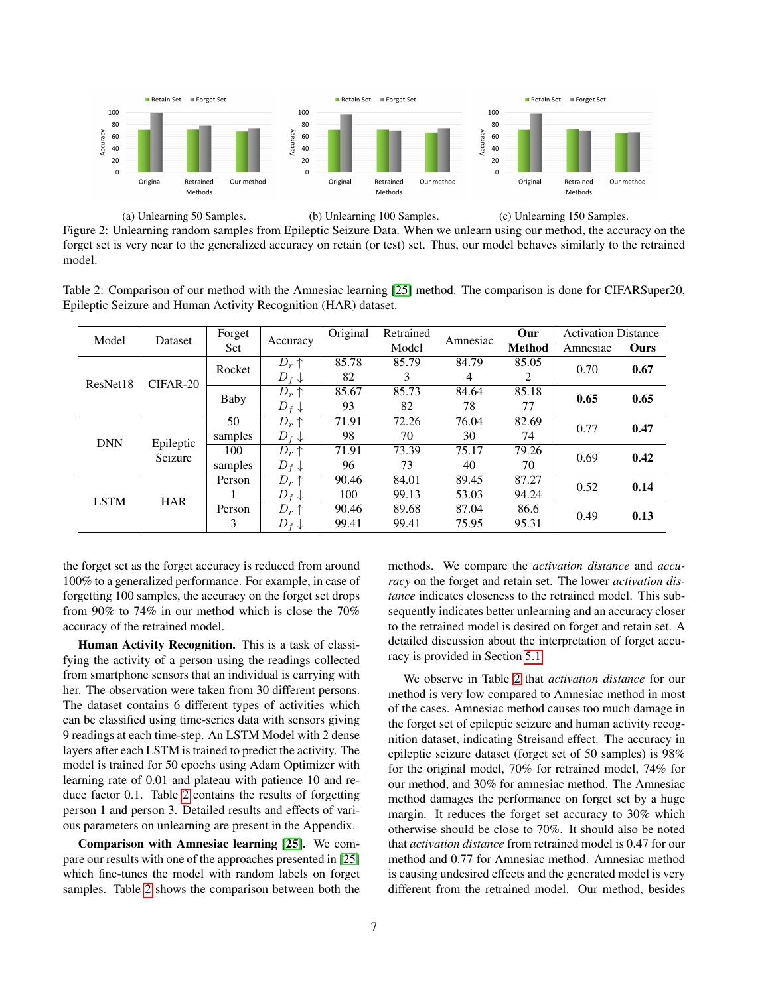<span id="page-6-0"></span>

Figure 2: Unlearning random samples from Epileptic Seizure Data. When we unlearn using our method, the accuracy on the forget set is very near to the generalized accuracy on retain (or test) set. Thus, our model behaves similarly to the retrained model.

<span id="page-6-1"></span>Table 2: Comparison of our method with the Amnesiac learning [\[25\]](#page-10-5) method. The comparison is done for CIFARSuper20, Epileptic Seizure and Human Activity Recognition (HAR) dataset.

| Model       | Dataset              | Forget  | Accuracy         | Original         | Retrained | Amnesiac | Our           | <b>Activation Distance</b> |      |      |
|-------------|----------------------|---------|------------------|------------------|-----------|----------|---------------|----------------------------|------|------|
|             |                      | Set     |                  |                  | Model     |          | <b>Method</b> | Amnesiac                   | Ours |      |
|             |                      | Rocket  | $D_r \uparrow$   | 85.78            | 85.79     | 84.79    | 85.05         | 0.70                       | 0.67 |      |
| ResNet18    | $CIFAR-20$           |         | $D_f \downarrow$ | 82               | 3         | 4        | 2             |                            |      |      |
|             | Baby                 |         | $D_r \uparrow$   | 85.67            | 85.73     | 84.64    | 85.18         | 0.65                       | 0.65 |      |
|             |                      |         | $D_f \downarrow$ | 93               | 82        | 78       | 77            |                            |      |      |
|             | Epileptic<br>Seizure | 50      | $D_r \uparrow$   | 71.91            | 72.26     | 76.04    | 82.69         | 0.77                       | 0.47 |      |
| <b>DNN</b>  |                      |         | samples          | $D_f \downarrow$ | 98        | 70       | 30            | 74                         |      |      |
|             |                      | 100     | $D_r \uparrow$   | 71.91            | 73.39     | 75.17    | 79.26         | 0.69                       | 0.42 |      |
|             |                      | samples | $D_f \downarrow$ | 96               | 73        | 40       | 70            |                            |      |      |
|             |                      | Person  | $D_r \uparrow$   | 90.46            | 84.01     | 89.45    | 87.27         | 0.52                       | 0.14 |      |
| <b>LSTM</b> | <b>HAR</b>           |         | $D_f \downarrow$ | 100              | 99.13     | 53.03    | 94.24         |                            |      |      |
|             |                      |         | Person           | $D_r \uparrow$   | 90.46     | 89.68    | 87.04         | 86.6                       | 0.49 | 0.13 |
|             |                      | 3       | $D_f \downarrow$ | 99.41            | 99.41     | 75.95    | 95.31         |                            |      |      |

the forget set as the forget accuracy is reduced from around 100% to a generalized performance. For example, in case of forgetting 100 samples, the accuracy on the forget set drops from 90% to 74% in our method which is close the 70% accuracy of the retrained model.

Human Activity Recognition. This is a task of classifying the activity of a person using the readings collected from smartphone sensors that an individual is carrying with her. The observation were taken from 30 different persons. The dataset contains 6 different types of activities which can be classified using time-series data with sensors giving 9 readings at each time-step. An LSTM Model with 2 dense layers after each LSTM is trained to predict the activity. The model is trained for 50 epochs using Adam Optimizer with learning rate of 0.01 and plateau with patience 10 and reduce factor 0.1. Table [2](#page-6-1) contains the results of forgetting person 1 and person 3. Detailed results and effects of various parameters on unlearning are present in the Appendix.

Comparison with Amnesiac learning [\[25\]](#page-10-5). We compare our results with one of the approaches presented in [\[25\]](#page-10-5) which fine-tunes the model with random labels on forget samples. Table [2](#page-6-1) shows the comparison between both the methods. We compare the *activation distance* and *accuracy* on the forget and retain set. The lower *activation distance* indicates closeness to the retrained model. This subsequently indicates better unlearning and an accuracy closer to the retrained model is desired on forget and retain set. A detailed discussion about the interpretation of forget accuracy is provided in Section [5.1.](#page-4-0)

We observe in Table [2](#page-6-1) that *activation distance* for our method is very low compared to Amnesiac method in most of the cases. Amnesiac method causes too much damage in the forget set of epileptic seizure and human activity recognition dataset, indicating Streisand effect. The accuracy in epileptic seizure dataset (forget set of 50 samples) is 98% for the original model, 70% for retrained model, 74% for our method, and 30% for amnesiac method. The Amnesiac method damages the performance on forget set by a huge margin. It reduces the forget set accuracy to 30% which otherwise should be close to 70%. It should also be noted that *activation distance* from retrained model is 0.47 for our method and 0.77 for Amnesiac method. Amnesiac method is causing undesired effects and the generated model is very different from the retrained model. Our method, besides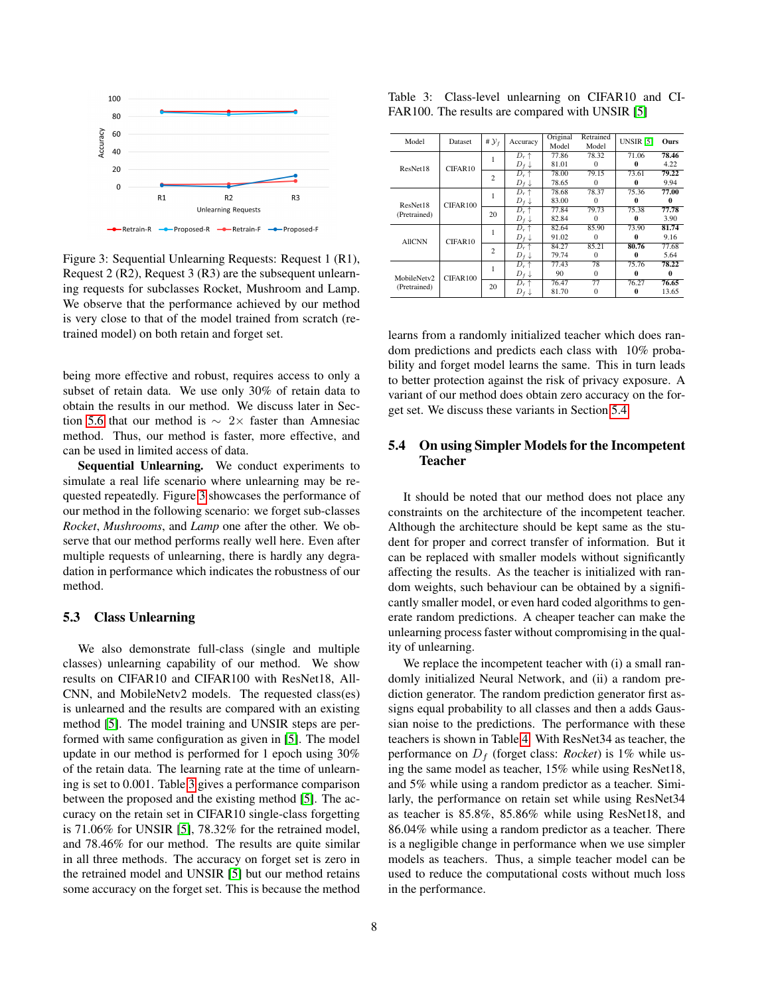<span id="page-7-0"></span>

Figure 3: Sequential Unlearning Requests: Request 1 (R1), Request 2 (R2), Request 3 (R3) are the subsequent unlearning requests for subclasses Rocket, Mushroom and Lamp. We observe that the performance achieved by our method is very close to that of the model trained from scratch (retrained model) on both retain and forget set.

being more effective and robust, requires access to only a subset of retain data. We use only 30% of retain data to obtain the results in our method. We discuss later in Sec-tion [5.6](#page-8-2) that our method is  $\sim 2 \times$  faster than Amnesiac method. Thus, our method is faster, more effective, and can be used in limited access of data.

Sequential Unlearning. We conduct experiments to simulate a real life scenario where unlearning may be requested repeatedly. Figure [3](#page-7-0) showcases the performance of our method in the following scenario: we forget sub-classes *Rocket*, *Mushrooms*, and *Lamp* one after the other. We observe that our method performs really well here. Even after multiple requests of unlearning, there is hardly any degradation in performance which indicates the robustness of our method.

#### 5.3 Class Unlearning

We also demonstrate full-class (single and multiple classes) unlearning capability of our method. We show results on CIFAR10 and CIFAR100 with ResNet18, All-CNN, and MobileNetv2 models. The requested class(es) is unlearned and the results are compared with an existing method [\[5\]](#page-9-4). The model training and UNSIR steps are performed with same configuration as given in [\[5\]](#page-9-4). The model update in our method is performed for 1 epoch using 30% of the retain data. The learning rate at the time of unlearning is set to 0.001. Table [3](#page-7-1) gives a performance comparison between the proposed and the existing method [\[5\]](#page-9-4). The accuracy on the retain set in CIFAR10 single-class forgetting is 71.06% for UNSIR [\[5\]](#page-9-4), 78.32% for the retrained model, and 78.46% for our method. The results are quite similar in all three methods. The accuracy on forget set is zero in the retrained model and UNSIR [\[5\]](#page-9-4) but our method retains some accuracy on the forget set. This is because the method

<span id="page-7-1"></span>

| Table 3: Class-level unlearning on CIFAR10 and CI- |  |  |  |
|----------------------------------------------------|--|--|--|
| FAR100. The results are compared with UNSIR [5]    |  |  |  |

| Model         | Dataset  | # $\mathcal{Y}_f$ | Accuracy         | Original<br>Model | Retrained<br>Model | <b>UNSIR [5]</b> | Ours     |
|---------------|----------|-------------------|------------------|-------------------|--------------------|------------------|----------|
|               |          | 1                 | $D_r \uparrow$   | 77.86             | 78.32              | 71.06            | 78.46    |
| ResNet18      | CIFAR10  |                   | $D_f \downarrow$ | 81.01             | $\Omega$           | $\bf{0}$         | 4.22     |
|               |          | $\overline{c}$    | $D_r \uparrow$   | 78.00             | 79.15              | 73.61            | 79.22    |
|               |          |                   | $D_f \downarrow$ | 78.65             | 0                  | 0                | 9.94     |
| ResNet18      | CIFAR100 |                   | $D_r \uparrow$   | 78.68             | 78.37              | 75.36            | 77.00    |
|               |          |                   | $D_f \downarrow$ | 83.00             | 0                  | 0                | 0        |
| (Pretrained)  |          | 20                | $D_r \uparrow$   | 77.84             | 79.73              | 75.38            | 77.78    |
|               |          |                   | $D_f \downarrow$ | 82.84             | $\Omega$           | $\bf{0}$         | 3.90     |
|               |          |                   | $D_r \uparrow$   | 82.64             | 85.90              | 73.90            | 81.74    |
| <b>AllCNN</b> | CIFAR10  |                   | $D_f \downarrow$ | 91.02             | $\Omega$           | 0                | 9.16     |
|               |          | $\overline{c}$    | $D_r \uparrow$   | 84.27             | 85.21              | 80.76            | 77.68    |
|               |          |                   | $D_f \downarrow$ | 79.74             | $\Omega$           | 0                | 5.64     |
|               |          | 1                 | $D_r \uparrow$   | 77.43             | 78                 | 75.76            | 78.22    |
| MobileNetv2   | CIFAR100 |                   | $D_f \downarrow$ | 90                | $\Omega$           | 0                | $\bf{0}$ |
| (Pretrained)  |          | 20                | $D_r \uparrow$   | 76.47             | 77                 | 76.27            | 76.65    |
|               |          |                   | $D_f \downarrow$ | 81.70             | 0                  | 0                | 13.65    |

learns from a randomly initialized teacher which does random predictions and predicts each class with 10% probability and forget model learns the same. This in turn leads to better protection against the risk of privacy exposure. A variant of our method does obtain zero accuracy on the forget set. We discuss these variants in Section [5.4.](#page-7-2)

## <span id="page-7-2"></span>5.4 On using Simpler Models for the Incompetent Teacher

It should be noted that our method does not place any constraints on the architecture of the incompetent teacher. Although the architecture should be kept same as the student for proper and correct transfer of information. But it can be replaced with smaller models without significantly affecting the results. As the teacher is initialized with random weights, such behaviour can be obtained by a significantly smaller model, or even hard coded algorithms to generate random predictions. A cheaper teacher can make the unlearning process faster without compromising in the quality of unlearning.

We replace the incompetent teacher with (i) a small randomly initialized Neural Network, and (ii) a random prediction generator. The random prediction generator first assigns equal probability to all classes and then a adds Gaussian noise to the predictions. The performance with these teachers is shown in Table [4.](#page-8-0) With ResNet34 as teacher, the performance on  $D_f$  (forget class: *Rocket*) is 1% while using the same model as teacher, 15% while using ResNet18, and 5% while using a random predictor as a teacher. Similarly, the performance on retain set while using ResNet34 as teacher is 85.8%, 85.86% while using ResNet18, and 86.04% while using a random predictor as a teacher. There is a negligible change in performance when we use simpler models as teachers. Thus, a simple teacher model can be used to reduce the computational costs without much loss in the performance.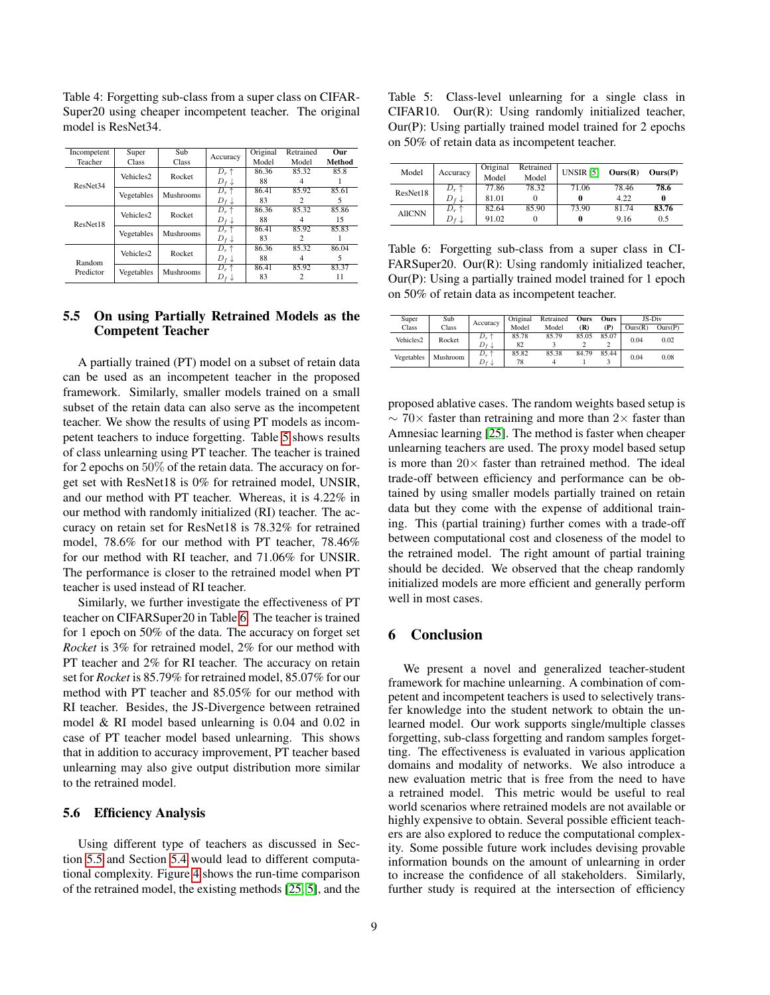| Incompetent | Super                 | Sub       | Accuracy         | Original | Retrained     | Our    |
|-------------|-----------------------|-----------|------------------|----------|---------------|--------|
| Teacher     | Class                 | Class     |                  | Model    | Model         | Method |
|             | Vehicles <sub>2</sub> | Rocket    | $D_r \uparrow$   | 86.36    | 85.32         | 85.8   |
| ResNet34    |                       |           | $D_f \downarrow$ | 88       |               |        |
|             |                       | Mushrooms | $D_r \uparrow$   | 86.41    | 85.92         | 85.61  |
|             | Vegetables            |           | $D_f \downarrow$ | 83       | $\mathcal{D}$ | 5      |
|             | Vehicles <sub>2</sub> | Rocket    | $D_r \uparrow$   | 86.36    | 85.32         | 85.86  |
| ResNet18    |                       |           | $D_f \downarrow$ | 88       |               | 15     |
|             | Vegetables            | Mushrooms | $D_r \uparrow$   | 86.41    | 85.92         | 85.83  |
|             |                       |           | $D_f \downarrow$ | 83       | 2             |        |
|             | Vehicles <sub>2</sub> | Rocket    | $D_r \uparrow$   | 86.36    | 85.32         | 86.04  |
| Random      |                       |           | $D_f \downarrow$ | 88       | 4             | 5      |
| Predictor   | Vegetables            | Mushrooms | $D_r$ $\uparrow$ | 86.41    | 85.92         | 83.37  |
|             |                       |           | $D_f \downarrow$ | 83       | 2             | 11     |

<span id="page-8-0"></span>Table 4: Forgetting sub-class from a super class on CIFAR-Super20 using cheaper incompetent teacher. The original model is ResNet34.

#### <span id="page-8-1"></span>5.5 On using Partially Retrained Models as the Competent Teacher

A partially trained (PT) model on a subset of retain data can be used as an incompetent teacher in the proposed framework. Similarly, smaller models trained on a small subset of the retain data can also serve as the incompetent teacher. We show the results of using PT models as incompetent teachers to induce forgetting. Table [5](#page-8-3) shows results of class unlearning using PT teacher. The teacher is trained for 2 epochs on 50% of the retain data. The accuracy on forget set with ResNet18 is 0% for retrained model, UNSIR, and our method with PT teacher. Whereas, it is 4.22% in our method with randomly initialized (RI) teacher. The accuracy on retain set for ResNet18 is 78.32% for retrained model, 78.6% for our method with PT teacher, 78.46% for our method with RI teacher, and 71.06% for UNSIR. The performance is closer to the retrained model when PT teacher is used instead of RI teacher.

Similarly, we further investigate the effectiveness of PT teacher on CIFARSuper20 in Table [6.](#page-8-4) The teacher is trained for 1 epoch on 50% of the data. The accuracy on forget set *Rocket* is 3% for retrained model, 2% for our method with PT teacher and 2% for RI teacher. The accuracy on retain set for *Rocket* is 85.79% for retrained model, 85.07% for our method with PT teacher and 85.05% for our method with RI teacher. Besides, the JS-Divergence between retrained model & RI model based unlearning is 0.04 and 0.02 in case of PT teacher model based unlearning. This shows that in addition to accuracy improvement, PT teacher based unlearning may also give output distribution more similar to the retrained model.

#### <span id="page-8-2"></span>5.6 Efficiency Analysis

Using different type of teachers as discussed in Section [5.5](#page-8-1) and Section [5.4](#page-7-2) would lead to different computational complexity. Figure [4](#page-9-19) shows the run-time comparison of the retrained model, the existing methods [\[25,](#page-10-5) [5\]](#page-9-4), and the

<span id="page-8-3"></span>Table 5: Class-level unlearning for a single class in CIFAR10. Our(R): Using randomly initialized teacher, Our(P): Using partially trained model trained for 2 epochs on 50% of retain data as incompetent teacher.

| Model         | Accuracy           | Original<br>Model | Retrained<br>Model | UNSIR [5] | Ours(R) | Ours(P) |
|---------------|--------------------|-------------------|--------------------|-----------|---------|---------|
| ResNet18      | $D_r$ ↑            | 77.86             | 78.32              | 71.06     | 78.46   | 78.6    |
|               | $D$ f $\downarrow$ | 81.01             |                    | 0         | 4.22    |         |
| <b>AllCNN</b> | $D_r \uparrow$     | 82.64             | 85.90              | 73.90     | 81.74   | 83.76   |
|               | D +                | 91.02             |                    | 0         | 9.16    | 0.5     |

<span id="page-8-4"></span>Table 6: Forgetting sub-class from a super class in CI-FARSuper20. Our(R): Using randomly initialized teacher, Our(P): Using a partially trained model trained for 1 epoch on 50% of retain data as incompetent teacher.

| Super                 | Sub      | Accuracy                           | Original    | Retrained | Ours  | Ours  | JS-Div  |         |
|-----------------------|----------|------------------------------------|-------------|-----------|-------|-------|---------|---------|
| Class                 | Class    |                                    | Model       | Model     | (R)   | (P)   | Ours(R) | Ours(P) |
| Vehicles <sub>2</sub> | Rocket   | $D_r \uparrow$<br>$D_f \downarrow$ | 85.78<br>82 | 85.79     | 85.05 | 85.07 | 0.04    | 0.02    |
|                       |          | $D_r$<br>$\ddot{\phantom{1}}$      | 85.82       | 85.38     | 84.79 | 85.44 |         |         |
| Vegetables            | Mushroom | $D$ f $\downarrow$                 | 78          |           |       |       | 0.04    | 0.08    |

proposed ablative cases. The random weights based setup is  $\sim$  70× faster than retraining and more than 2× faster than Amnesiac learning [\[25\]](#page-10-5). The method is faster when cheaper unlearning teachers are used. The proxy model based setup is more than  $20 \times$  faster than retrained method. The ideal trade-off between efficiency and performance can be obtained by using smaller models partially trained on retain data but they come with the expense of additional training. This (partial training) further comes with a trade-off between computational cost and closeness of the model to the retrained model. The right amount of partial training should be decided. We observed that the cheap randomly initialized models are more efficient and generally perform well in most cases.

#### 6 Conclusion

We present a novel and generalized teacher-student framework for machine unlearning. A combination of competent and incompetent teachers is used to selectively transfer knowledge into the student network to obtain the unlearned model. Our work supports single/multiple classes forgetting, sub-class forgetting and random samples forgetting. The effectiveness is evaluated in various application domains and modality of networks. We also introduce a new evaluation metric that is free from the need to have a retrained model. This metric would be useful to real world scenarios where retrained models are not available or highly expensive to obtain. Several possible efficient teachers are also explored to reduce the computational complexity. Some possible future work includes devising provable information bounds on the amount of unlearning in order to increase the confidence of all stakeholders. Similarly, further study is required at the intersection of efficiency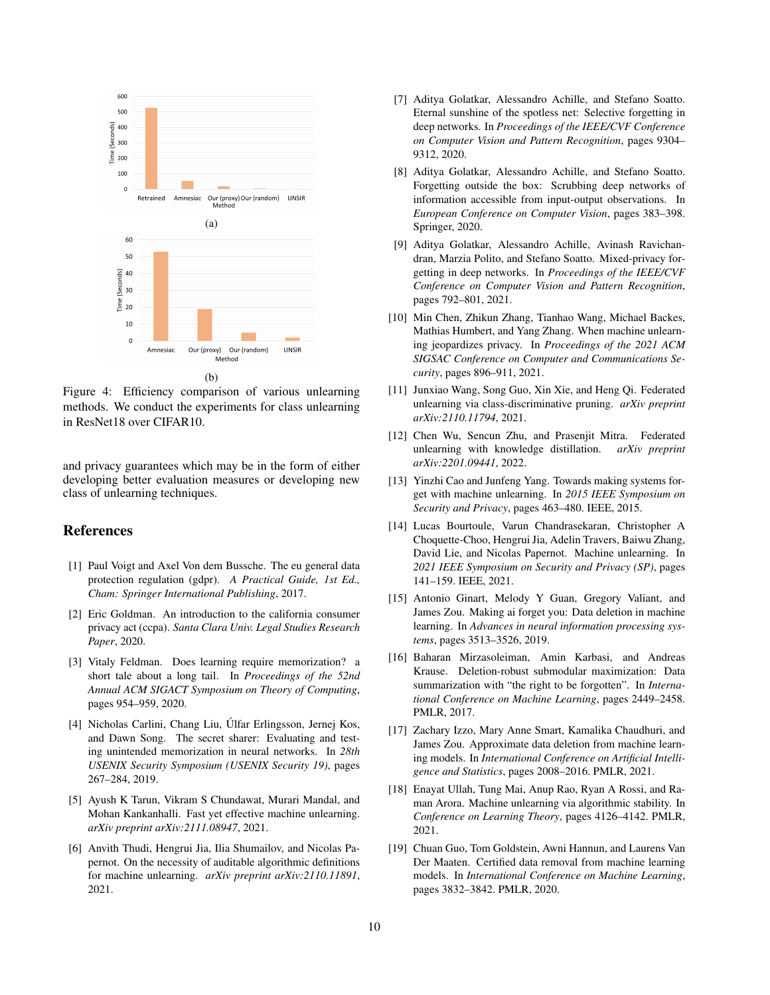<span id="page-9-19"></span>

Figure 4: Efficiency comparison of various unlearning methods. We conduct the experiments for class unlearning in ResNet18 over CIFAR10.

and privacy guarantees which may be in the form of either developing better evaluation measures or developing new class of unlearning techniques.

#### References

- <span id="page-9-0"></span>[1] Paul Voigt and Axel Von dem Bussche. The eu general data protection regulation (gdpr). *A Practical Guide, 1st Ed., Cham: Springer International Publishing*, 2017.
- <span id="page-9-1"></span>[2] Eric Goldman. An introduction to the california consumer privacy act (ccpa). *Santa Clara Univ. Legal Studies Research Paper*, 2020.
- <span id="page-9-2"></span>[3] Vitaly Feldman. Does learning require memorization? a short tale about a long tail. In *Proceedings of the 52nd Annual ACM SIGACT Symposium on Theory of Computing*, pages 954–959, 2020.
- <span id="page-9-3"></span>[4] Nicholas Carlini, Chang Liu, Ulfar Erlingsson, Jernej Kos, ´ and Dawn Song. The secret sharer: Evaluating and testing unintended memorization in neural networks. In *28th USENIX Security Symposium (USENIX Security 19)*, pages 267–284, 2019.
- <span id="page-9-4"></span>[5] Ayush K Tarun, Vikram S Chundawat, Murari Mandal, and Mohan Kankanhalli. Fast yet effective machine unlearning. *arXiv preprint arXiv:2111.08947*, 2021.
- <span id="page-9-5"></span>[6] Anvith Thudi, Hengrui Jia, Ilia Shumailov, and Nicolas Papernot. On the necessity of auditable algorithmic definitions for machine unlearning. *arXiv preprint arXiv:2110.11891*, 2021.
- <span id="page-9-6"></span>[7] Aditya Golatkar, Alessandro Achille, and Stefano Soatto. Eternal sunshine of the spotless net: Selective forgetting in deep networks. In *Proceedings of the IEEE/CVF Conference on Computer Vision and Pattern Recognition*, pages 9304– 9312, 2020.
- <span id="page-9-7"></span>[8] Aditya Golatkar, Alessandro Achille, and Stefano Soatto. Forgetting outside the box: Scrubbing deep networks of information accessible from input-output observations. In *European Conference on Computer Vision*, pages 383–398. Springer, 2020.
- <span id="page-9-8"></span>[9] Aditya Golatkar, Alessandro Achille, Avinash Ravichandran, Marzia Polito, and Stefano Soatto. Mixed-privacy forgetting in deep networks. In *Proceedings of the IEEE/CVF Conference on Computer Vision and Pattern Recognition*, pages 792–801, 2021.
- <span id="page-9-9"></span>[10] Min Chen, Zhikun Zhang, Tianhao Wang, Michael Backes, Mathias Humbert, and Yang Zhang. When machine unlearning jeopardizes privacy. In *Proceedings of the 2021 ACM SIGSAC Conference on Computer and Communications Security*, pages 896–911, 2021.
- <span id="page-9-10"></span>[11] Junxiao Wang, Song Guo, Xin Xie, and Heng Qi. Federated unlearning via class-discriminative pruning. *arXiv preprint arXiv:2110.11794*, 2021.
- <span id="page-9-11"></span>[12] Chen Wu, Sencun Zhu, and Prasenjit Mitra. Federated unlearning with knowledge distillation. *arXiv preprint arXiv:2201.09441*, 2022.
- <span id="page-9-12"></span>[13] Yinzhi Cao and Junfeng Yang. Towards making systems forget with machine unlearning. In *2015 IEEE Symposium on Security and Privacy*, pages 463–480. IEEE, 2015.
- <span id="page-9-13"></span>[14] Lucas Bourtoule, Varun Chandrasekaran, Christopher A Choquette-Choo, Hengrui Jia, Adelin Travers, Baiwu Zhang, David Lie, and Nicolas Papernot. Machine unlearning. In *2021 IEEE Symposium on Security and Privacy (SP)*, pages 141–159. IEEE, 2021.
- <span id="page-9-14"></span>[15] Antonio Ginart, Melody Y Guan, Gregory Valiant, and James Zou. Making ai forget you: Data deletion in machine learning. In *Advances in neural information processing systems*, pages 3513–3526, 2019.
- <span id="page-9-15"></span>[16] Baharan Mirzasoleiman, Amin Karbasi, and Andreas Krause. Deletion-robust submodular maximization: Data summarization with "the right to be forgotten". In *International Conference on Machine Learning*, pages 2449–2458. PMLR, 2017.
- <span id="page-9-16"></span>[17] Zachary Izzo, Mary Anne Smart, Kamalika Chaudhuri, and James Zou. Approximate data deletion from machine learning models. In *International Conference on Artificial Intelligence and Statistics*, pages 2008–2016. PMLR, 2021.
- <span id="page-9-17"></span>[18] Enayat Ullah, Tung Mai, Anup Rao, Ryan A Rossi, and Raman Arora. Machine unlearning via algorithmic stability. In *Conference on Learning Theory*, pages 4126–4142. PMLR, 2021.
- <span id="page-9-18"></span>[19] Chuan Guo, Tom Goldstein, Awni Hannun, and Laurens Van Der Maaten. Certified data removal from machine learning models. In *International Conference on Machine Learning*, pages 3832–3842. PMLR, 2020.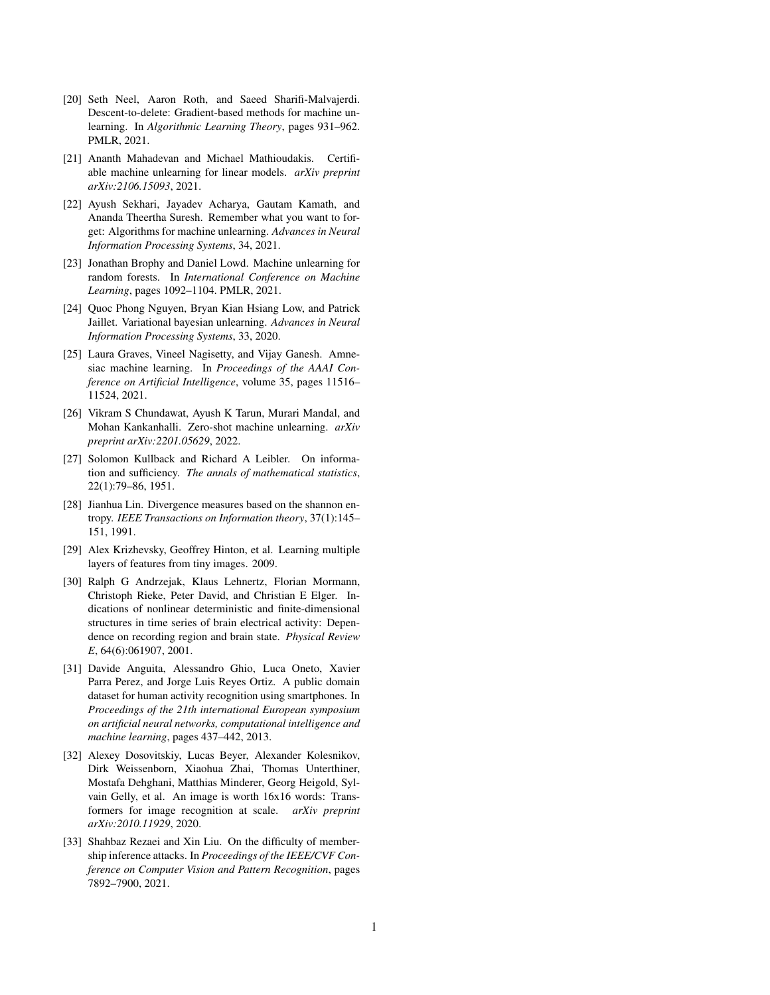- <span id="page-10-0"></span>[20] Seth Neel, Aaron Roth, and Saeed Sharifi-Malvajerdi. Descent-to-delete: Gradient-based methods for machine unlearning. In *Algorithmic Learning Theory*, pages 931–962. PMLR, 2021.
- <span id="page-10-1"></span>[21] Ananth Mahadevan and Michael Mathioudakis. Certifiable machine unlearning for linear models. *arXiv preprint arXiv:2106.15093*, 2021.
- <span id="page-10-2"></span>[22] Ayush Sekhari, Jayadev Acharya, Gautam Kamath, and Ananda Theertha Suresh. Remember what you want to forget: Algorithms for machine unlearning. *Advances in Neural Information Processing Systems*, 34, 2021.
- <span id="page-10-3"></span>[23] Jonathan Brophy and Daniel Lowd. Machine unlearning for random forests. In *International Conference on Machine Learning*, pages 1092–1104. PMLR, 2021.
- <span id="page-10-4"></span>[24] Quoc Phong Nguyen, Bryan Kian Hsiang Low, and Patrick Jaillet. Variational bayesian unlearning. *Advances in Neural Information Processing Systems*, 33, 2020.
- <span id="page-10-5"></span>[25] Laura Graves, Vineel Nagisetty, and Vijay Ganesh. Amnesiac machine learning. In *Proceedings of the AAAI Conference on Artificial Intelligence*, volume 35, pages 11516– 11524, 2021.
- <span id="page-10-6"></span>[26] Vikram S Chundawat, Ayush K Tarun, Murari Mandal, and Mohan Kankanhalli. Zero-shot machine unlearning. *arXiv preprint arXiv:2201.05629*, 2022.
- <span id="page-10-7"></span>[27] Solomon Kullback and Richard A Leibler. On information and sufficiency. *The annals of mathematical statistics*, 22(1):79–86, 1951.
- <span id="page-10-8"></span>[28] Jianhua Lin. Divergence measures based on the shannon entropy. *IEEE Transactions on Information theory*, 37(1):145– 151, 1991.
- <span id="page-10-9"></span>[29] Alex Krizhevsky, Geoffrey Hinton, et al. Learning multiple layers of features from tiny images. 2009.
- <span id="page-10-10"></span>[30] Ralph G Andrzejak, Klaus Lehnertz, Florian Mormann, Christoph Rieke, Peter David, and Christian E Elger. Indications of nonlinear deterministic and finite-dimensional structures in time series of brain electrical activity: Dependence on recording region and brain state. *Physical Review E*, 64(6):061907, 2001.
- <span id="page-10-11"></span>[31] Davide Anguita, Alessandro Ghio, Luca Oneto, Xavier Parra Perez, and Jorge Luis Reyes Ortiz. A public domain dataset for human activity recognition using smartphones. In *Proceedings of the 21th international European symposium on artificial neural networks, computational intelligence and machine learning*, pages 437–442, 2013.
- <span id="page-10-12"></span>[32] Alexey Dosovitskiy, Lucas Beyer, Alexander Kolesnikov, Dirk Weissenborn, Xiaohua Zhai, Thomas Unterthiner, Mostafa Dehghani, Matthias Minderer, Georg Heigold, Sylvain Gelly, et al. An image is worth 16x16 words: Transformers for image recognition at scale. *arXiv preprint arXiv:2010.11929*, 2020.
- <span id="page-10-13"></span>[33] Shahbaz Rezaei and Xin Liu. On the difficulty of membership inference attacks. In *Proceedings of the IEEE/CVF Conference on Computer Vision and Pattern Recognition*, pages 7892–7900, 2021.